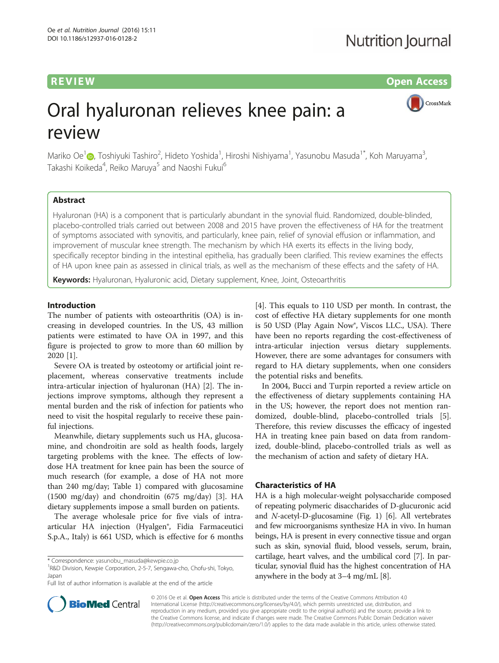**REVIEW ACCESS REVIEW CONSUMING THE CONSUMING TENS** 

CrossMark

# Oral hyaluronan relieves knee pain: a review

Mariko Oe<sup>[1](http://orcid.org/0000-0003-4173-525X)</sup>@, Toshiyuki Tashiro<sup>2</sup>, Hideto Yoshida<sup>1</sup>, Hiroshi Nishiyama<sup>1</sup>, Yasunobu Masuda<sup>1\*</sup>, Koh Maruyama<sup>3</sup> , Takashi Koikeda<sup>4</sup>, Reiko Maruya<sup>5</sup> and Naoshi Fukui<sup>6</sup>

#### Abstract

Hyaluronan (HA) is a component that is particularly abundant in the synovial fluid. Randomized, double-blinded, placebo-controlled trials carried out between 2008 and 2015 have proven the effectiveness of HA for the treatment of symptoms associated with synovitis, and particularly, knee pain, relief of synovial effusion or inflammation, and improvement of muscular knee strength. The mechanism by which HA exerts its effects in the living body, specifically receptor binding in the intestinal epithelia, has gradually been clarified. This review examines the effects of HA upon knee pain as assessed in clinical trials, as well as the mechanism of these effects and the safety of HA.

Keywords: Hyaluronan, Hyaluronic acid, Dietary supplement, Knee, Joint, Osteoarthritis

#### Introduction

The number of patients with osteoarthritis (OA) is increasing in developed countries. In the US, 43 million patients were estimated to have OA in 1997, and this figure is projected to grow to more than 60 million by 2020 [\[1](#page-7-0)].

Severe OA is treated by osteotomy or artificial joint replacement, whereas conservative treatments include intra-articular injection of hyaluronan (HA) [\[2](#page-7-0)]. The injections improve symptoms, although they represent a mental burden and the risk of infection for patients who need to visit the hospital regularly to receive these painful injections.

Meanwhile, dietary supplements such us HA, glucosamine, and chondroitin are sold as health foods, largely targeting problems with the knee. The effects of lowdose HA treatment for knee pain has been the source of much research (for example, a dose of HA not more than 240 mg/day; Table [1\)](#page-1-0) compared with glucosamine (1500 mg/day) and chondroitin (675 mg/day) [[3\]](#page-7-0). HA dietary supplements impose a small burden on patients.

The average wholesale price for five vials of intraarticular HA injection (Hyalgen®, Fidia Farmaceutici S.p.A., Italy) is 661 USD, which is effective for 6 months

R&D Division, Kewpie Corporation, 2-5-7, Sengawa-cho, Chofu-shi, Tokyo, Japan

Full list of author information is available at the end of the article

[[4\]](#page-7-0). This equals to 110 USD per month. In contrast, the cost of effective HA dietary supplements for one month is 50 USD (Play Again Now®, Viscos LLC., USA). There have been no reports regarding the cost-effectiveness of intra-articular injection versus dietary supplements. However, there are some advantages for consumers with regard to HA dietary supplements, when one considers the potential risks and benefits.

In 2004, Bucci and Turpin reported a review article on the effectiveness of dietary supplements containing HA in the US; however, the report does not mention randomized, double-blind, placebo-controlled trials [\[5](#page-7-0)]. Therefore, this review discusses the efficacy of ingested HA in treating knee pain based on data from randomized, double-blind, placebo-controlled trials as well as the mechanism of action and safety of dietary HA.

#### Characteristics of HA

HA is a high molecular-weight polysaccharide composed of repeating polymeric disaccharides of D-glucuronic acid and N-acetyl-D-glucosamine (Fig. [1\)](#page-1-0) [[6\]](#page-7-0). All vertebrates and few microorganisms synthesize HA in vivo. In human beings, HA is present in every connective tissue and organ such as skin, synovial fluid, blood vessels, serum, brain, cartilage, heart valves, and the umbilical cord [[7](#page-7-0)]. In particular, synovial fluid has the highest concentration of HA anywhere in the body at 3–4 mg/mL [[8\]](#page-7-0).



© 2016 Oe et al. Open Access This article is distributed under the terms of the Creative Commons Attribution 4.0 International License [\(http://creativecommons.org/licenses/by/4.0/](http://creativecommons.org/licenses/by/4.0/)), which permits unrestricted use, distribution, and reproduction in any medium, provided you give appropriate credit to the original author(s) and the source, provide a link to the Creative Commons license, and indicate if changes were made. The Creative Commons Public Domain Dedication waiver [\(http://creativecommons.org/publicdomain/zero/1.0/](http://creativecommons.org/publicdomain/zero/1.0/)) applies to the data made available in this article, unless otherwise stated.

<sup>\*</sup> Correspondence: [yasunobu\\_masuda@kewpie.co.jp](mailto:yasunobu_masuda@kewpie.co.jp) <sup>1</sup>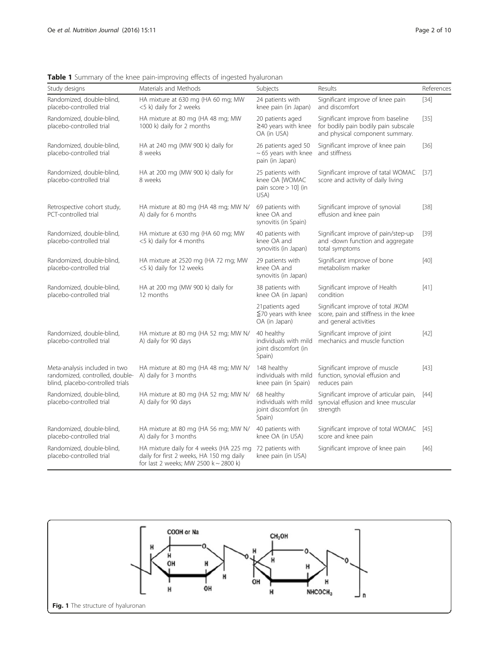| Study designs                                                                                        | Materials and Methods                                                                                                        | Subjects                                                              | Results                                                                                                      | References |
|------------------------------------------------------------------------------------------------------|------------------------------------------------------------------------------------------------------------------------------|-----------------------------------------------------------------------|--------------------------------------------------------------------------------------------------------------|------------|
| Randomized, double-blind,<br>placebo-controlled trial                                                | HA mixture at 630 mg (HA 60 mg; MW<br><5 k) daily for 2 weeks                                                                | 24 patients with<br>knee pain (in Japan)                              | Significant improve of knee pain<br>and discomfort                                                           | $[34]$     |
| Randomized, double-blind,<br>placebo-controlled trial                                                | HA mixture at 80 mg (HA 48 mg; MW<br>1000 k) daily for 2 months                                                              | 20 patients aged<br>$\geq$ 40 years with knee<br>OA (in USA)          | Significant improve from baseline<br>for bodily pain bodily pain subscale<br>and physical component summary. | $[35]$     |
| Randomized, double-blind,<br>placebo-controlled trial                                                | HA at 240 mg (MW 900 k) daily for<br>8 weeks                                                                                 | 26 patients aged 50<br>$\sim$ 65 years with knee<br>pain (in Japan)   | Significant improve of knee pain<br>and stiffness                                                            | $[36]$     |
| Randomized, double-blind,<br>placebo-controlled trial                                                | HA at 200 mg (MW 900 k) daily for<br>8 weeks                                                                                 | 25 patients with<br>knee OA [WOMAC<br>pain score $> 10$ ] (in<br>USA) | Significant improve of tatal WOMAC<br>score and activity of daily living                                     | $[37]$     |
| Retrospective cohort study,<br>PCT-controlled trial                                                  | HA mixture at 80 mg (HA 48 mg; MW N/<br>A) daily for 6 months                                                                | 69 patients with<br>knee OA and<br>synovitis (in Spain)               | Significant improve of synovial<br>effusion and knee pain                                                    | $[38]$     |
| Randomized, double-blind,<br>placebo-controlled trial                                                | HA mixture at 630 mg (HA 60 mg; MW<br><5 k) daily for 4 months                                                               | 40 patients with<br>knee OA and<br>synovitis (in Japan)               | Significant improve of pain/step-up<br>and -down function and aggregate<br>total symptoms                    | $[39]$     |
| Randomized, double-blind,<br>placebo-controlled trial                                                | HA mixture at 2520 mg (HA 72 mg; MW<br><5 k) daily for 12 weeks                                                              | 29 patients with<br>knee OA and<br>synovitis (in Japan)               | Significant improve of bone<br>metabolism marker                                                             | $[40]$     |
| Randomized, double-blind,<br>placebo-controlled trial                                                | HA at 200 mg (MW 900 k) daily for<br>12 months                                                                               | 38 patients with<br>knee OA (in Japan)                                | Significant improve of Health<br>condition                                                                   | $[41]$     |
|                                                                                                      |                                                                                                                              | 21 patients aged<br>$\leq$ 70 years with knee<br>OA (in Japan)        | Significant improve of total JKOM<br>score, pain and stiffness in the knee<br>and general activities         |            |
| Randomized, double-blind,<br>placebo-controlled trial                                                | HA mixture at 80 mg (HA 52 mg; MW N/<br>A) daily for 90 days                                                                 | 40 healthy<br>individuals with mild<br>joint discomfort (in<br>Spain) | Significant improve of joint<br>mechanics and muscle function                                                | $[42]$     |
| Meta-analysis included in two<br>randomized, controlled, double-<br>blind, placebo-controlled trials | HA mixture at 80 mg (HA 48 mg; MW N/<br>A) daily for 3 months                                                                | 148 healthy<br>individuals with mild<br>knee pain (in Spain)          | Significant improve of muscle<br>function, synovial effusion and<br>reduces pain                             | $[43]$     |
| Randomized, double-blind,<br>placebo-controlled trial                                                | HA mixture at 80 mg (HA 52 mg; MW N/<br>A) daily for 90 days                                                                 | 68 healthy<br>individuals with mild<br>joint discomfort (in<br>Spain) | Significant improve of articular pain,<br>synovial effusion and knee muscular<br>strength                    | [44]       |
| Randomized, double-blind,<br>placebo-controlled trial                                                | HA mixture at 80 mg (HA 56 mg; MW N/<br>A) daily for 3 months                                                                | 40 patients with<br>knee OA (in USA)                                  | Significant improve of total WOMAC [45]<br>score and knee pain                                               |            |
| Randomized, double-blind,<br>placebo-controlled trial                                                | HA mixture daily for 4 weeks (HA 225 mg<br>daily for first 2 weeks, HA 150 mg daily<br>for last 2 weeks; MW 2500 k ~ 2800 k) | 72 patients with<br>knee pain (in USA)                                | Significant improve of knee pain                                                                             | $[46]$     |

<span id="page-1-0"></span>Table 1 Summary of the knee pain-improving effects of ingested hyaluronan

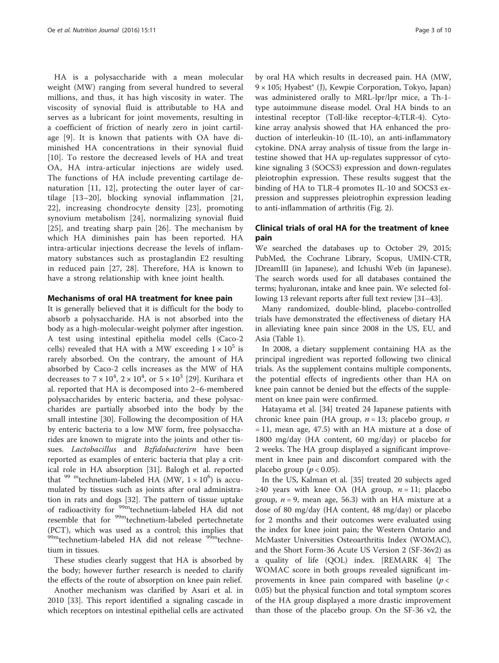HA is a polysaccharide with a mean molecular weight (MW) ranging from several hundred to several millions, and thus, it has high viscosity in water. The viscosity of synovial fluid is attributable to HA and serves as a lubricant for joint movements, resulting in a coefficient of friction of nearly zero in joint cartilage [[9\]](#page-7-0). It is known that patients with OA have diminished HA concentrations in their synovial fluid [[10\]](#page-7-0). To restore the decreased levels of HA and treat OA, HA intra-articular injections are widely used. The functions of HA include preventing cartilage denaturation [[11](#page-7-0), [12\]](#page-7-0), protecting the outer layer of cartilage [[13](#page-7-0)–[20\]](#page-7-0), blocking synovial inflammation [\[21](#page-7-0), [22\]](#page-7-0), increasing chondrocyte density [[23\]](#page-7-0), promoting synovium metabolism [\[24](#page-7-0)], normalizing synovial fluid [[25\]](#page-7-0), and treating sharp pain [[26\]](#page-7-0). The mechanism by which HA diminishes pain has been reported. HA intra-articular injections decrease the levels of inflammatory substances such as prostaglandin E2 resulting in reduced pain [\[27](#page-7-0), [28](#page-8-0)]. Therefore, HA is known to have a strong relationship with knee joint health.

#### Mechanisms of oral HA treatment for knee pain

It is generally believed that it is difficult for the body to absorb a polysaccharide. HA is not absorbed into the body as a high-molecular-weight polymer after ingestion. A test using intestinal epithelia model cells (Caco-2 cells) revealed that HA with a MW exceeding  $1 \times 10^5$  is rarely absorbed. On the contrary, the amount of HA absorbed by Caco-2 cells increases as the MW of HA decreases to  $7 \times 10^4$ ,  $2 \times 10^4$ , or  $5 \times 10^3$  [[29\]](#page-8-0). Kurihara et al. reported that HA is decomposed into 2–6-membered polysaccharides by enteric bacteria, and these polysaccharides are partially absorbed into the body by the small intestine [[30\]](#page-8-0). Following the decomposition of HA by enteric bacteria to a low MW form, free polysaccharides are known to migrate into the joints and other tissues. Lactobacillus and Bzfidobacterirn have been reported as examples of enteric bacteria that play a critical role in HA absorption [\[31\]](#page-8-0). Balogh et al. reported that  $^{99}$  <sup>m</sup>technetium-labeled HA (MW,  $1 \times 10^6$ ) is accumulated by tissues such as joints after oral administration in rats and dogs [\[32](#page-8-0)]. The pattern of tissue uptake of radioactivity for 99mtechnetium-labeled HA did not resemble that for <sup>99m</sup>technetium-labeled pertechnetate (PCT), which was used as a control; this implies that 99mtechnetium-labeled HA did not release <sup>99m</sup>technetium in tissues.

These studies clearly suggest that HA is absorbed by the body; however further research is needed to clarify the effects of the route of absorption on knee pain relief.

Another mechanism was clarified by Asari et al. in 2010 [[33\]](#page-8-0). This report identified a signaling cascade in which receptors on intestinal epithelial cells are activated

by oral HA which results in decreased pain. HA (MW, 9 × 105; Hyabest® (J), Kewpie Corporation, Tokyo, Japan) was administered orally to MRL-lpr/lpr mice, a Th-1 type autoimmune disease model. Oral HA binds to an intestinal receptor (Toll-like receptor-4;TLR-4). Cytokine array analysis showed that HA enhanced the production of interleukin-10 (IL-10), an anti-inflammatory cytokine. DNA array analysis of tissue from the large intestine showed that HA up-regulates suppressor of cytokine signaling 3 (SOCS3) expression and down-regulates pleiotrophin expression. These results suggest that the binding of HA to TLR-4 promotes IL-10 and SOCS3 expression and suppresses pleiotrophin expression leading to anti-inflammation of arthritis (Fig. [2\)](#page-3-0).

#### Clinical trials of oral HA for the treatment of knee pain

We searched the databases up to October 29, 2015; PubMed, the Cochrane Library, Scopus, UMIN-CTR, JDreamIII (in Japanese), and Ichushi Web (in Japanese). The search words used for all databases contained the terms; hyaluronan, intake and knee pain. We selected following 13 relevant reports after full text review [[31](#page-8-0)–[43\]](#page-8-0).

Many randomized, double-blind, placebo-controlled trials have demonstrated the effectiveness of dietary HA in alleviating knee pain since 2008 in the US, EU, and Asia (Table [1\)](#page-1-0).

In 2008, a dietary supplement containing HA as the principal ingredient was reported following two clinical trials. As the supplement contains multiple components, the potential effects of ingredients other than HA on knee pain cannot be denied but the effects of the supplement on knee pain were confirmed.

Hatayama et al. [\[34](#page-8-0)] treated 24 Japanese patients with chronic knee pain (HA group,  $n = 13$ ; placebo group, n = 11, mean age, 47.5) with an HA mixture at a dose of 1800 mg/day (HA content, 60 mg/day) or placebo for 2 weeks. The HA group displayed a significant improvement in knee pain and discomfort compared with the placebo group ( $p < 0.05$ ).

In the US, Kalman et al. [[35](#page-8-0)] treated 20 subjects aged  $≥40$  years with knee OA (HA group,  $n = 11$ ; placebo group,  $n = 9$ , mean age, 56.3) with an HA mixture at a dose of 80 mg/day (HA content, 48 mg/day) or placebo for 2 months and their outcomes were evaluated using the index for knee joint pain; the Western Ontario and McMaster Universities Osteoarthritis Index (WOMAC), and the Short Form-36 Acute US Version 2 (SF-36v2) as a quality of life (QOL) index. [REMARK 4] The WOMAC score in both groups revealed significant improvements in knee pain compared with baseline  $(p <$ 0.05) but the physical function and total symptom scores of the HA group displayed a more drastic improvement than those of the placebo group. On the SF-36 v2, the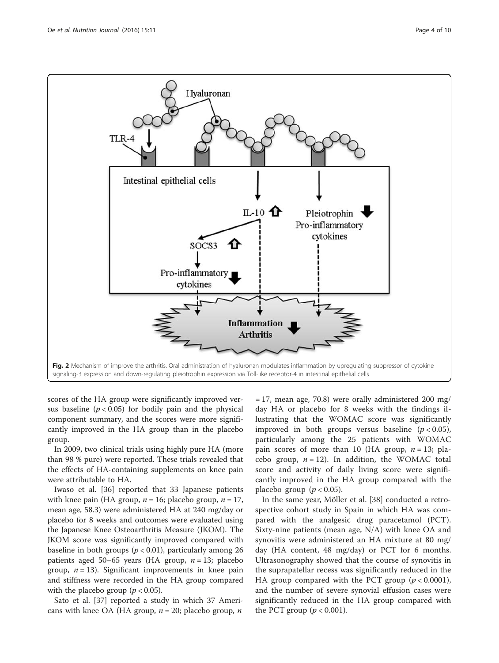<span id="page-3-0"></span>

scores of the HA group were significantly improved versus baseline ( $p < 0.05$ ) for bodily pain and the physical component summary, and the scores were more significantly improved in the HA group than in the placebo group.

In 2009, two clinical trials using highly pure HA (more than 98 % pure) were reported. These trials revealed that the effects of HA-containing supplements on knee pain were attributable to HA.

Iwaso et al. [[36](#page-8-0)] reported that 33 Japanese patients with knee pain (HA group,  $n = 16$ ; placebo group,  $n = 17$ , mean age, 58.3) were administered HA at 240 mg/day or placebo for 8 weeks and outcomes were evaluated using the Japanese Knee Osteoarthritis Measure (JKOM). The JKOM score was significantly improved compared with baseline in both groups ( $p < 0.01$ ), particularly among 26 patients aged 50–65 years (HA group,  $n = 13$ ; placebo group,  $n = 13$ ). Significant improvements in knee pain and stiffness were recorded in the HA group compared with the placebo group ( $p < 0.05$ ).

Sato et al. [[37\]](#page-8-0) reported a study in which 37 Americans with knee OA (HA group,  $n = 20$ ; placebo group,  $n$ 

 $= 17$ , mean age, 70.8) were orally administered 200 mg/ day HA or placebo for 8 weeks with the findings illustrating that the WOMAC score was significantly improved in both groups versus baseline  $(p < 0.05)$ , particularly among the 25 patients with WOMAC pain scores of more than 10 (HA group,  $n = 13$ ; placebo group,  $n = 12$ ). In addition, the WOMAC total score and activity of daily living score were significantly improved in the HA group compared with the placebo group ( $p < 0.05$ ).

In the same year, Möller et al. [\[38](#page-8-0)] conducted a retrospective cohort study in Spain in which HA was compared with the analgesic drug paracetamol (PCT). Sixty-nine patients (mean age, N/A) with knee OA and synovitis were administered an HA mixture at 80 mg/ day (HA content, 48 mg/day) or PCT for 6 months. Ultrasonography showed that the course of synovitis in the suprapatellar recess was significantly reduced in the HA group compared with the PCT group  $(p < 0.0001)$ , and the number of severe synovial effusion cases were significantly reduced in the HA group compared with the PCT group  $(p < 0.001)$ .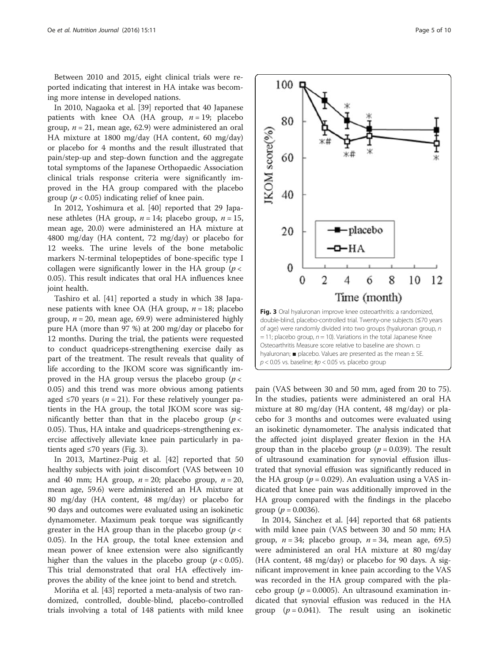Between 2010 and 2015, eight clinical trials were reported indicating that interest in HA intake was becoming more intense in developed nations.

In 2010, Nagaoka et al. [[39\]](#page-8-0) reported that 40 Japanese patients with knee OA (HA group,  $n = 19$ ; placebo group,  $n = 21$ , mean age, 62.9) were administered an oral HA mixture at 1800 mg/day (HA content, 60 mg/day) or placebo for 4 months and the result illustrated that pain/step-up and step-down function and the aggregate total symptoms of the Japanese Orthopaedic Association clinical trials response criteria were significantly improved in the HA group compared with the placebo group ( $p < 0.05$ ) indicating relief of knee pain.

In 2012, Yoshimura et al. [[40\]](#page-8-0) reported that 29 Japanese athletes (HA group,  $n = 14$ ; placebo group,  $n = 15$ , mean age, 20.0) were administered an HA mixture at 4800 mg/day (HA content, 72 mg/day) or placebo for 12 weeks. The urine levels of the bone metabolic markers N-terminal telopeptides of bone-specific type I collagen were significantly lower in the HA group ( $p <$ 0.05). This result indicates that oral HA influences knee joint health.

Tashiro et al. [[41](#page-8-0)] reported a study in which 38 Japanese patients with knee OA (HA group,  $n = 18$ ; placebo group,  $n = 20$ , mean age, 69.9) were administered highly pure HA (more than 97 %) at 200 mg/day or placebo for 12 months. During the trial, the patients were requested to conduct quadriceps-strengthening exercise daily as part of the treatment. The result reveals that quality of life according to the JKOM score was significantly improved in the HA group versus the placebo group ( $p <$ 0.05) and this trend was more obvious among patients aged  $\leq$ 70 years (*n* = 21). For these relatively younger patients in the HA group, the total JKOM score was significantly better than that in the placebo group ( $p <$ 0.05). Thus, HA intake and quadriceps-strengthening exercise affectively alleviate knee pain particularly in patients aged  $\leq 70$  years (Fig. 3).

In 2013, Martinez-Puig et al. [[42](#page-8-0)] reported that 50 healthy subjects with joint discomfort (VAS between 10 and 40 mm; HA group,  $n = 20$ ; placebo group,  $n = 20$ , mean age, 59.6) were administered an HA mixture at 80 mg/day (HA content, 48 mg/day) or placebo for 90 days and outcomes were evaluated using an isokinetic dynamometer. Maximum peak torque was significantly greater in the HA group than in the placebo group ( $p <$ 0.05). In the HA group, the total knee extension and mean power of knee extension were also significantly higher than the values in the placebo group ( $p < 0.05$ ). This trial demonstrated that oral HA effectively improves the ability of the knee joint to bend and stretch.

Moriña et al. [\[43](#page-8-0)] reported a meta-analysis of two randomized, controlled, double-blind, placebo-controlled trials involving a total of 148 patients with mild knee



pain (VAS between 30 and 50 mm, aged from 20 to 75). In the studies, patients were administered an oral HA mixture at 80 mg/day (HA content, 48 mg/day) or placebo for 3 months and outcomes were evaluated using an isokinetic dynamometer. The analysis indicated that the affected joint displayed greater flexion in the HA group than in the placebo group ( $p = 0.039$ ). The result of ultrasound examination for synovial effusion illustrated that synovial effusion was significantly reduced in the HA group ( $p = 0.029$ ). An evaluation using a VAS indicated that knee pain was additionally improved in the HA group compared with the findings in the placebo group ( $p = 0.0036$ ).

In 2014, Sánchez et al. [\[44](#page-8-0)] reported that 68 patients with mild knee pain (VAS between 30 and 50 mm; HA group,  $n = 34$ ; placebo group,  $n = 34$ , mean age, 69.5) were administered an oral HA mixture at 80 mg/day (HA content, 48 mg/day) or placebo for 90 days. A significant improvement in knee pain according to the VAS was recorded in the HA group compared with the placebo group ( $p = 0.0005$ ). An ultrasound examination indicated that synovial effusion was reduced in the HA group ( $p = 0.041$ ). The result using an isokinetic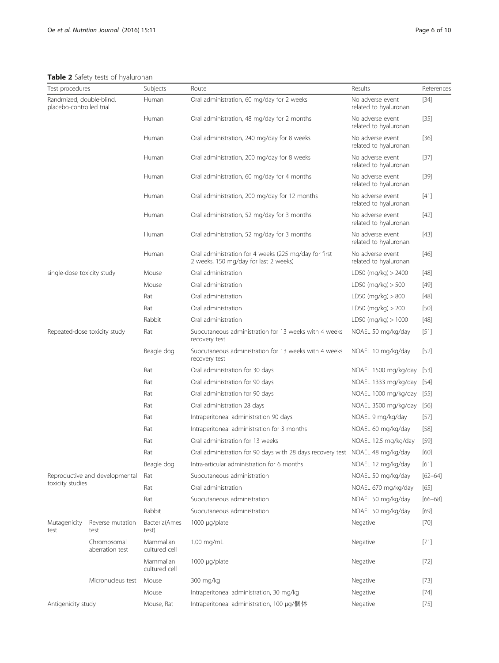<span id="page-5-0"></span>Table 2 Safety tests of hyaluronan

| Test procedures                                      |                                | Subjects                                      | Route                                                                                          | Results                                    | References  |
|------------------------------------------------------|--------------------------------|-----------------------------------------------|------------------------------------------------------------------------------------------------|--------------------------------------------|-------------|
| Randmized, double-blind,<br>placebo-controlled trial |                                | Human                                         | Oral administration, 60 mg/day for 2 weeks                                                     | No adverse event<br>related to hyaluronan. | $[34]$      |
|                                                      |                                | Human                                         | Oral administration, 48 mg/day for 2 months                                                    | No adverse event<br>related to hyaluronan. | [35]        |
|                                                      | Human                          | Oral administration, 240 mg/day for 8 weeks   | No adverse event<br>related to hyaluronan.                                                     | [36]                                       |             |
|                                                      | Human                          | Oral administration, 200 mg/day for 8 weeks   | No adverse event<br>related to hyaluronan.                                                     | $[37]$                                     |             |
|                                                      | Human                          | Oral administration, 60 mg/day for 4 months   | No adverse event<br>related to hyaluronan.                                                     | $[39]$                                     |             |
|                                                      | Human                          | Oral administration, 200 mg/day for 12 months | No adverse event<br>related to hyaluronan.                                                     | $[41]$                                     |             |
|                                                      | Human                          | Oral administration, 52 mg/day for 3 months   | No adverse event<br>related to hyaluronan.                                                     | $[42]$                                     |             |
|                                                      | Human                          | Oral administration, 52 mg/day for 3 months   | No adverse event<br>related to hyaluronan.                                                     | $[43]$                                     |             |
|                                                      |                                | Human                                         | Oral administration for 4 weeks (225 mg/day for first<br>2 weeks, 150 mg/day for last 2 weeks) | No adverse event<br>related to hyaluronan. | [46]        |
| single-dose toxicity study                           |                                | Mouse                                         | Oral administration                                                                            | $LD50$ (mg/kg) $> 2400$                    | $[48]$      |
|                                                      |                                | Mouse                                         | Oral administration                                                                            | LD50 (mg/kg) > 500                         | $[49]$      |
|                                                      |                                | Rat                                           | Oral administration                                                                            | LD50 (mq/kg) > 800                         | $[48]$      |
|                                                      |                                | Rat                                           | Oral administration                                                                            | LD50 (mg/kg) > 200                         | $[50]$      |
|                                                      |                                | Rabbit                                        | Oral administration                                                                            | LD50 (mg/kg) $> 1000$                      | $[48]$      |
| Repeated-dose toxicity study                         |                                | Rat                                           | Subcutaneous administration for 13 weeks with 4 weeks<br>recovery test                         | NOAEL 50 mg/kg/day                         | $[51]$      |
|                                                      |                                | Beagle dog                                    | Subcutaneous administration for 13 weeks with 4 weeks<br>recovery test                         | NOAEL 10 mg/kg/day                         | $[52]$      |
|                                                      |                                | Rat                                           | Oral administration for 30 days                                                                | NOAEL 1500 mg/kg/day                       | $[53]$      |
|                                                      |                                | Rat                                           | Oral administration for 90 days                                                                | NOAEL 1333 mg/kg/day                       | [54]        |
|                                                      |                                | Rat                                           | Oral administration for 90 days                                                                | NOAEL 1000 mg/kg/day                       | $[55]$      |
|                                                      |                                | Rat                                           | Oral administration 28 days                                                                    | NOAEL 3500 mg/kg/day                       | $[56]$      |
|                                                      |                                | Rat                                           | Intraperitoneal administration 90 days                                                         | NOAEL 9 mg/kg/day                          | $[57]$      |
|                                                      |                                | Rat                                           | Intraperitoneal administration for 3 months                                                    | NOAEL 60 mg/kg/day                         | $[58]$      |
|                                                      |                                | Rat                                           | Oral administration for 13 weeks                                                               | NOAEL 12.5 mg/kg/day                       | $[59]$      |
|                                                      |                                | Rat                                           | Oral administration for 90 days with 28 days recovery test NOAEL 48 mg/kg/day                  |                                            | [60]        |
|                                                      |                                | Beagle dog                                    | Intra-articular administration for 6 months                                                    | NOAEL 12 mg/kg/day                         | $[61]$      |
| Reproductive and developmental                       |                                | Rat                                           | Subcutaneous administration                                                                    | NOAEL 50 mg/kg/day                         | $[62 - 64]$ |
| toxicity studies                                     | Rat                            | Oral administration                           | NOAEL 670 mg/kg/day                                                                            | [65]                                       |             |
|                                                      |                                | Rat                                           | Subcutaneous administration                                                                    | NOAEL 50 mg/kg/day                         | $[66 - 68]$ |
|                                                      | Rabbit                         | Subcutaneous administration                   | NOAEL 50 mg/kg/day                                                                             | $[69]$                                     |             |
| Mutagenicity<br>test                                 | Reverse mutation<br>test       | Bacteria(Ames<br>test)                        | 1000 µg/plate                                                                                  | Negative                                   | $[70]$      |
|                                                      | Chromosomal<br>aberration test | Mammalian<br>cultured cell                    | 1.00 mg/mL                                                                                     | Negative                                   | $[71]$      |
|                                                      |                                | Mammalian<br>cultured cell                    | 1000 µg/plate                                                                                  | Negative                                   | [72]        |
|                                                      | Micronucleus test              | Mouse                                         | 300 mg/kg                                                                                      | Negative                                   | $[73]$      |
|                                                      |                                | Mouse                                         | Intraperitoneal administration, 30 mg/kg                                                       | Negative                                   | $[74]$      |
| Antigenicity study                                   |                                | Mouse, Rat                                    | Intraperitoneal administration, 100 µg/個体                                                      | Negative                                   | $[75]$      |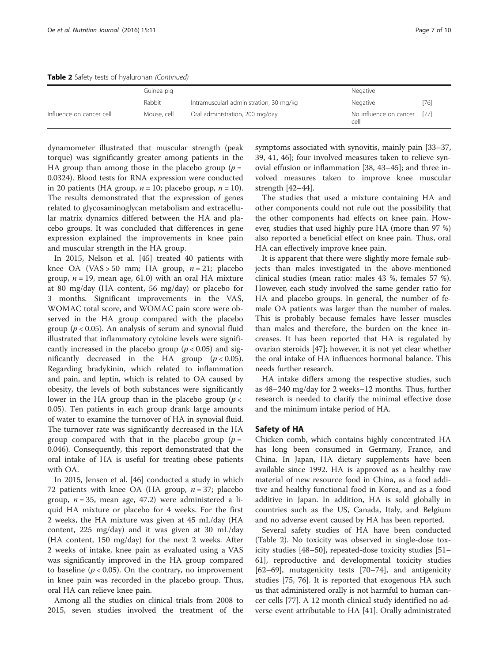Table 2 Safety tests of hyaluronan (Continued)

|                          | Guinea pig  |                                         | Negative                            |      |
|--------------------------|-------------|-----------------------------------------|-------------------------------------|------|
|                          | Rabbit      | Intramuscularl administration, 30 mg/kg | Negative                            | [76] |
| Influence on cancer cell | Mouse, cell | Oral administration, 200 mg/day         | No influence on cancer [77]<br>cell |      |

dynamometer illustrated that muscular strength (peak torque) was significantly greater among patients in the HA group than among those in the placebo group ( $p =$ 0.0324). Blood tests for RNA expression were conducted in 20 patients (HA group,  $n = 10$ ; placebo group,  $n = 10$ ). The results demonstrated that the expression of genes related to glycosaminoglycan metabolism and extracellular matrix dynamics differed between the HA and placebo groups. It was concluded that differences in gene expression explained the improvements in knee pain and muscular strength in the HA group.

In 2015, Nelson et al. [\[45\]](#page-8-0) treated 40 patients with knee OA (VAS > 50 mm; HA group,  $n = 21$ ; placebo group,  $n = 19$ , mean age, 61.0) with an oral HA mixture at 80 mg/day (HA content, 56 mg/day) or placebo for 3 months. Significant improvements in the VAS, WOMAC total score, and WOMAC pain score were observed in the HA group compared with the placebo group ( $p < 0.05$ ). An analysis of serum and synovial fluid illustrated that inflammatory cytokine levels were significantly increased in the placebo group ( $p < 0.05$ ) and significantly decreased in the HA group  $(p < 0.05)$ . Regarding bradykinin, which related to inflammation and pain, and leptin, which is related to OA caused by obesity, the levels of both substances were significantly lower in the HA group than in the placebo group ( $p <$ 0.05). Ten patients in each group drank large amounts of water to examine the turnover of HA in synovial fluid. The turnover rate was significantly decreased in the HA group compared with that in the placebo group ( $p =$ 0.046). Consequently, this report demonstrated that the oral intake of HA is useful for treating obese patients with OA.

In 2015, Jensen et al. [[46\]](#page-8-0) conducted a study in which 72 patients with knee OA (HA group,  $n = 37$ ; placebo group,  $n = 35$ , mean age, 47.2) were administered a liquid HA mixture or placebo for 4 weeks. For the first 2 weeks, the HA mixture was given at 45 mL/day (HA content, 225 mg/day) and it was given at 30 mL/day (HA content, 150 mg/day) for the next 2 weeks. After 2 weeks of intake, knee pain as evaluated using a VAS was significantly improved in the HA group compared to baseline ( $p < 0.05$ ). On the contrary, no improvement in knee pain was recorded in the placebo group. Thus, oral HA can relieve knee pain.

Among all the studies on clinical trials from 2008 to 2015, seven studies involved the treatment of the symptoms associated with synovitis, mainly pain [[33](#page-8-0)–[37](#page-8-0), [39, 41, 46](#page-8-0)]; four involved measures taken to relieve synovial effusion or inflammation [[38](#page-8-0), [43](#page-8-0)–[45](#page-8-0)]; and three involved measures taken to improve knee muscular strength [\[42](#page-8-0)–[44](#page-8-0)].

The studies that used a mixture containing HA and other components could not rule out the possibility that the other components had effects on knee pain. However, studies that used highly pure HA (more than 97 %) also reported a beneficial effect on knee pain. Thus, oral HA can effectively improve knee pain.

It is apparent that there were slightly more female subjects than males investigated in the above-mentioned clinical studies (mean ratio: males 43 %, females 57 %). However, each study involved the same gender ratio for HA and placebo groups. In general, the number of female OA patients was larger than the number of males. This is probably because females have lesser muscles than males and therefore, the burden on the knee increases. It has been reported that HA is regulated by ovarian steroids [[47\]](#page-8-0); however, it is not yet clear whether the oral intake of HA influences hormonal balance. This needs further research.

HA intake differs among the respective studies, such as 48–240 mg/day for 2 weeks–12 months. Thus, further research is needed to clarify the minimal effective dose and the minimum intake period of HA.

#### Safety of HA

Chicken comb, which contains highly concentrated HA has long been consumed in Germany, France, and China. In Japan, HA dietary supplements have been available since 1992. HA is approved as a healthy raw material of new resource food in China, as a food additive and healthy functional food in Korea, and as a food additive in Japan. In addition, HA is sold globally in countries such as the US, Canada, Italy, and Belgium and no adverse event caused by HA has been reported.

Several safety studies of HA have been conducted (Table [2](#page-5-0)). No toxicity was observed in single-dose toxicity studies [[48](#page-8-0)–[50\]](#page-8-0), repeated-dose toxicity studies [[51](#page-8-0)– [61\]](#page-8-0), reproductive and developmental toxicity studies [[62](#page-8-0)–[69](#page-8-0)], mutagenicity tests [[70](#page--1-0)–[74](#page--1-0)], and antigenicity studies [[75, 76\]](#page--1-0). It is reported that exogenous HA such us that administered orally is not harmful to human cancer cells [[77\]](#page--1-0). A 12 month clinical study identified no adverse event attributable to HA [[41\]](#page-8-0). Orally administrated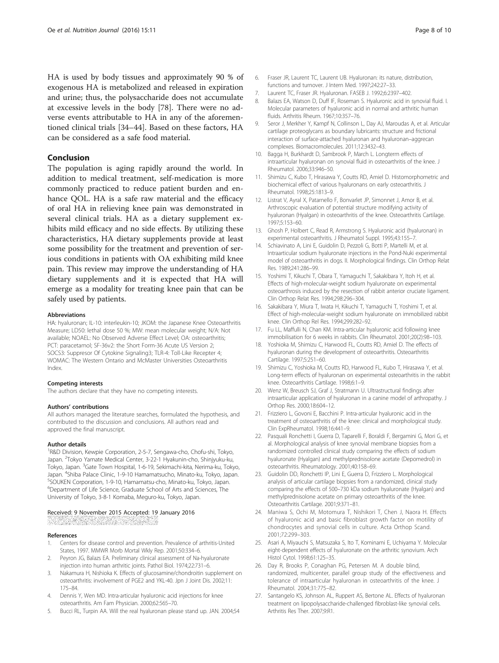<span id="page-7-0"></span>HA is used by body tissues and approximately 90 % of exogenous HA is metabolized and released in expiration and urine; thus, the polysaccharide does not accumulate at excessive levels in the body [[78\]](#page--1-0). There were no adverse events attributable to HA in any of the aforementioned clinical trials [\[34](#page-8-0)–[44\]](#page-8-0). Based on these factors, HA can be considered as a safe food material.

#### Conclusion

The population is aging rapidly around the world. In addition to medical treatment, self-medication is more commonly practiced to reduce patient burden and enhance QOL. HA is a safe raw material and the efficacy of oral HA in relieving knee pain was demonstrated in several clinical trials. HA as a dietary supplement exhibits mild efficacy and no side effects. By utilizing these characteristics, HA dietary supplements provide at least some possibility for the treatment and prevention of serious conditions in patients with OA exhibiting mild knee pain. This review may improve the understanding of HA dietary supplements and it is expected that HA will emerge as a modality for treating knee pain that can be safely used by patients.

#### Abbreviations

HA: hyaluronan; IL-10: interleukin-10; JKOM: the Japanese Knee Osteoarthritis Measure; LD50: lethal dose 50 %; MW: mean molecular weight; N/A: Not available; NOAEL: No Observed Adverse Effect Level; OA: osteoarthritis; PCT: paracetamol; SF-36v2: the Short Form-36 Acute US Version 2; SOCS3: Suppresor Of Cytokine Signaling3; TLR-4: Toll-Like Recepter 4; WOMAC: The Western Ontario and McMaster Universities Osteoarthritis Index.

#### Competing interests

The authors declare that they have no competing interests.

#### Authors' contributions

All authors managed the literature searches, formulated the hypothesis, and contributed to the discussion and conclusions. All authors read and approved the final manuscript.

#### Author details

<sup>1</sup>R&D Division, Kewpie Corporation, 2-5-7, Sengawa-cho, Chofu-shi, Tokyo, Japan. <sup>2</sup>Tokyo Yamate Medical Center, 3-22-1 Hyakunin-cho, Shinjyuku-ku, Tokyo, Japan. <sup>3</sup>Gate Town Hospital, 1-6-19, Sekimachi-kita, Nerima-ku, Tokyo, Japan. <sup>4</sup>Shiba Palace Clinic, 1-9-10 Hamamatsucho, Minato-ku, Tokyo, Japan.<br><sup>5</sup>SOLIKEN Corporation, 1,9,10 Hamamatsu cho, Minato ku, Tokyo, Japan. <sup>5</sup>SOUKEN Corporation, 1-9-10, Hamamatsu-cho, Minato-ku, Tokyo, Japan. <sup>6</sup>Department of Life Science, Graduate School of Arts and Sciences, The University of Tokyo, 3-8-1 Komaba, Meguro-ku, Tokyo, Japan.

## Received: 9 November 2015 Accepted: 19 January 2016

#### References

- 1. Centers for disease control and prevention. Prevalence of arthritis-United States, 1997. MMWR Morb Mortal Wkly Rep. 2001;50:334–6.
- 2. Peyron JG, Balazs EA. Preliminary clinical assessment of Na-hyaluronate injection into human arthritic joints. Pathol Biol. 1974;22:731–6.
- 3. Nakamura H, Nishioka K. Effects of glucosamine/chondroitin supplement on osteoarthritis: involvement of PGE2 and YKL-40. Jpn J Joint Dis. 2002;11: 175–84.
- 4. Dennis Y, Wen MD. Intra-articular hyaluronic acid injections for knee osteoarthritis. Am Fam Physician. 2000;62:565–70.
- 5. Bucci RL, Turpin AA. Will the real hyaluronan please stand up. JAN. 2004;54
- 6. Fraser JR, Laurent TC, Laurent UB. Hyaluronan: its nature, distribution, functions and turnover. J Intern Med. 1997;242:27–33.
- 7. Laurent TC, Fraser JR. Hyaluronan. FASEB J. 1992;6:2397–402.
- 8. Balazs EA, Watson D, Duff IF, Roseman S. Hyaluronic acid in synovial fluid. I. Molecular parameters of hyaluronic acid in normal and arthritic human fluids. Arthritis Rheum. 1967;10:357–76.
- 9. Seror J, Merkher Y, Kampf N, Collinson L, Day AJ, Maroudas A, et al. Articular cartilage proteoglycans as boundary lubricants: structure and frictional interaction of surface-attached hyaluronan and hyaluronan–aggrecan complexes. Biomacromolecules. 2011;12:3432–43.
- 10. Bagga H, Burkhardt D, Sambrook P, March L. Longterm effects of intraarticular hyaluronan on synovial fluid in osteoarthritis of the knee. J Rheumatol. 2006;33:946–50.
- 11. Shimizu C, Kubo T, Hirasawa Y, Coutts RD, Amiel D. Histomorphometric and biochemical effect of various hyaluronans on early osteoarthritis. J Rheumatol. 1998;25:1813–9.
- 12. Listrat V, Ayral X, Patarnello F, Bonvarlet JP, Simonnet J, Amor B, et al. Arthroscopic evaluation of potential structure modifying activity of hyaluronan (Hyalgan) in osteoarthritis of the knee. Osteoarthritis Cartilage. 1997;5:153–60.
- 13. Ghosh P, Holbert C, Read R, Armstrong S. Hyaluronic acid (hyaluronan) in experimental osteoarthritis. J Rheumatol Suppl. 1995;43:155–7.
- 14. Schiavinato A, Lini E, Guidolin D, Pezzoli G, Botti P, Martelli M, et al. Intraarticular sodium hyaluronate injections in the Pond-Nuki experimental model of osteoarthritis in dogs. II. Morphological findings. Clin Orthop Relat Res. 1989;241:286–99.
- 15. Yoshimi T, Kikuchi T, Obara T, Yamaguchi T, Sakakibara Y, Itoh H, et al. Effects of high-molecular-weight sodium hyaluronate on experimental osteoarthrosis induced by the resection of rabbit anterior cruciate ligament. Clin Orthop Relat Res. 1994;298:296–304.
- 16. Sakakibara Y, Miura T, Iwata H, Kikuchi T, Yamaguchi T, Yoshimi T, et al. Effect of high-molecular-weight sodium hyaluronate on immobilized rabbit knee. Clin Orthop Rel Res. 1994;299:282–92.
- 17. Fu LL, Maffulli N, Chan KM. Intra-articular hyaluronic acid following knee immobilisation for 6 weeks in rabbits. Clin Rheumatol. 2001;20(2):98–103.
- 18. Yoshioka M, Shimizu C, Harwood FL, Coutts RD, Amiel D. The effects of hyaluronan during the development of osteoarthritis. Osteoarthritis Cartilage. 1997;5:251–60.
- 19. Shimizu C, Yoshioka M, Coutts RD, Harwood FL, Kubo T, Hirasawa Y, et al. Long-term effects of hyaluronan on experimental osteoarthritis in the rabbit knee. Osteoarthritis Cartilage. 1998;6:1–9.
- 20. Wenz W, Breusch SJ, Graf J, Stratmann U. Ultrastructural findings after intraarticular application of hyaluronan in a canine model of arthropathy. J Orthop Res. 2000;18:604–12.
- 21. Frizziero L, Govoni E, Bacchini P. Intra-articular hyaluronic acid in the treatment of osteoarthritis of the knee: clinical and morphological study. Clin ExpRheumatol. 1998;16:441–9.
- 22. Pasquali Ronchetti I, Guerra D, Taparelli F, Boraldi F, Bergamini G, Mori G, et al. Morphological analysis of knee synovial membrane biopsies from a randomized controlled clinical study comparing the effects of sodium hyaluronate (Hyalgan) and methylprednisolone acetate (Depomedrol) in osteoarthritis. Rheumatology. 2001;40:158–69.
- 23. Guidolin DD, Ronchetti IP, Lini E, Guerra D, Frizziero L. Morphological analysis of articular cartilage biopsies from a randomized, clinical study comparing the effects of 500–730 kDa sodium hyaluronate (Hyalgan) and methylprednisolone acetate on primary osteoarthritis of the knee. Osteoarthritis Cartilage. 2001;9:371–81.
- 24. Maniwa S, Ochi M, Motomura T, Nishikori T, Chen J, Naora H. Effects of hyaluronic acid and basic fibroblast growth factor on motility of chondrocytes and synovial cells in culture. Acta Orthop Scand. 2001;72:299–303.
- 25. Asari A, Miyauchi S, Matsuzaka S, Ito T, Kominami E, Uchiyama Y. Molecular eight-dependent effects of hyaluronate on the arthritic synovium. Arch Histol Cytol. 1998;61:125–35.
- 26. Day R, Brooks P, Conaghan PG, Petersen M. A double blind, randomized, multicenter, parallel group study of the effectiveness and tolerance of intraarticular hyaluronan in osteoarthritis of the knee. J Rheumatol. 2004;31:775–82.
- 27. Santangelo KS, Johnson AL, Ruppert AS, Bertone AL. Effects of hyaluronan treatment on lipopolysaccharide-challenged fibroblast-like synovial cells. Arthritis Res Ther. 2007;9:R1.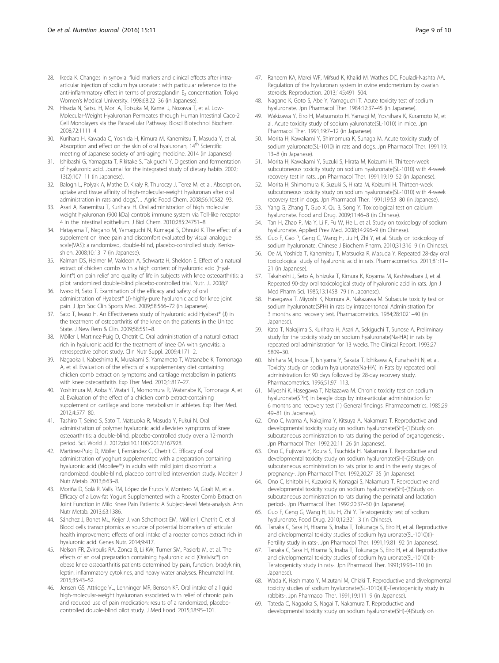- <span id="page-8-0"></span>28. Ikeda K. Changes in synovial fluid markers and clinical effects after intraarticular injection of sodium hyaluronate : with particular reference to the anti-inflammatory effect in terms of prostaglandin  $E<sub>2</sub>$  concentration. Tokyo Women's Medical University. 1998;68:22–36 (in Japanese).
- 29. Hisada N, Satsu H, Mori A, Totsuka M, Kamei J, Nozawa T, et al. Low-Molecular-Weight Hyaluronan Permeates through Human Intestinal Caco-2 Cell Monolayers via the Paracellular Pathway. Biosci Biotechnol Biochem. 2008;72:1111–4.
- 30. Kurihara H, Kawada C, Yoshida H, Kimura M, Kanemitsu T, Masuda Y, et al. Absorption and effect on the skin of oral hyaluronan, 14<sup>th</sup> Scientific meeting of Japanese society of anti-aging medicine. 2014 (in Japanese).
- 31. Ishibashi G, Yamagata T, Rikitake S, Takiguchi Y, Digestion and fermentation of hyaluronic acid. Journal for the integrated study of dietary habits. 2002; 13(2):107–11 (in Japanese).
- 32. Balogh L, Polyak A, Mathe D, Kiraly R, Thuroczy J, Terez M, et al. Absorption, uptake and tissue affinity of high-molecular-weight hyaluronan after oral administration in rats and dogs,". J Agric Food Chem. 2008;56:10582–93.
- 33. Asari A, Kanemitsu T, Kurihara H. Oral administration of high molecular weight hyaluronan (900 kDa) controls immune system via Toll-like receptor 4 in the intestinal epithelium. J Biol Chem. 2010;285:24751–8.
- 34. Hatayama T, Nagano M, Yamaguchi N, Kumagai S, Ohnuki K. The effect of a supplement on knee pain and discomfort evaluated by visual analogue scale(VAS): a randomized, double-blind, placebo-controlled study. Kenkoshien. 2008;10:13–7 (in Japanese).
- 35. Kalman DS, Heimer M, Valdeon A, Schwartz H, Sheldon E. Effect of a natural extract of chicken combs with a high content of hyaluronic acid (Hyal-Joint®) on pain relief and quality of life in subjects with knee osteoarthritis: a pilot randomized double-blind placebo-controlled trial. Nutr. J.. 2008;7
- 36. Iwaso H, Sato T. Examination of the efficacy and safety of oral administration of Hyabest® (J)-highly-pure hyaluronic acid for knee joint pain. J Jpn Soc Clin Sports Med. 2009;58:566–72 (in Japanese).
- 37. Sato T, Iwaso H. An Effectiveness study of hyaluronic acid Hyabest® (J) in the treatment of osteoarthritis of the knee on the patients in the United State. J New Rem & Clin. 2009;58:551–8.
- 38. Möller I, Martinez-Puig D, Chetrit C. Oral administration of a natural extract rich in hyaluronic acid for the treatment of knee OA with synovitis: a retrospective cohort study. Clin Nutr Suppl. 2009;4:171–2.
- 39. Nagaoka I, Nabeshima K, Murakami S, Yamamoto T, Watanabe K, Tomonaga A, et al. Evaluation of the effects of a supplementary diet containing chicken comb extract on symptoms and cartilage metabolism in patients with knee osteoarthritis. Exp Ther Med. 2010;1:817–27.
- 40. Yoshimura M, Aoba Y, Watari T, Momomura R, Watanabe K, Tomonaga A, et al. Evaluation of the effect of a chicken comb extract-containing supplement on cartilage and bone metabolism in athletes. Exp Ther Med. 2012;4:577–80.
- 41. Tashiro T, Seino S, Sato T, Matsuoka R, Masuda Y, Fukui N. Oral administration of polymer hyaluronic acid alleviates symptoms of knee osteoarthritis: a double-blind, placebo-controlled study over a 12-month period. Sci. World J.. 2012;doi:[10.1100/2012/167928.](http://dx.doi.org/10.1100/2012/167928)
- 42. Martinez-Puig D, Möller I, Fernández C, Chetrit C. Efficacy of oral administration of yoghurt supplemented with a preparation containing hyaluronic acid (Mobilee™) in adults with mild joint discomfort: a randomized, double-blind, placebo controlled intervention study. Mediterr J Nutr Metab. 2013;6:63–8.
- 43. Moriña D, Solà R, Valls RM, López de Frutos V, Montero M, Giralt M, et al. Efficacy of a Low-fat Yogurt Supplemented with a Rooster Comb Extract on Joint Function in Mild Knee Pain Patients: A Subject-level Meta-analysis. Ann Nutr Metab. 2013;63:1386.
- 44. Sánchez J, Bonet ML, Keijer J, van Schothorst EM, Mölller I, Chetrit C, et al. Blood cells transcriptomics as source of potential biomarkers of articular health improvement: effects of oral intake of a rooster combs extract rich in hyaluronic acid. Genes Nutr. 2014;9:417.
- 45. Nelson FR, Zvirbulis RA, Zonca B, Li KW, Turner SM, Pasierb M, et al. The effects of an oral preparation containing hyaluronic acid (Oralvisc®) on obese knee osteoarthritis patients determined by pain, function, bradykinin, leptin, inflammatory cytokines, and heavy water analyses. Rheumatol Int. 2015;35:43–52.
- 46. Jensen GS, Attridge VL, Lenninger MR, Benson KF. Oral intake of a liquid high-molecular-weight hyaluronan associated with relief of chronic pain and reduced use of pain medication: results of a randomized, placebocontrolled double-blind pilot study. J Med Food. 2015;18:95–101.
- 47. Raheem KA, Marei WF, Mifsud K, Khalid M, Wathes DC, Fouladi-Nashta AA. Regulation of the hyaluronan system in ovine endometrium by ovarian steroids. Reproduction. 2013;145:491–504.
- 48. Nagano K, Goto S, Abe Y, Yamaguchi T. Acute toxicity test of sodium hyaluronate. Jpn Pharmacol Ther. 1984;12:37–45 (in Japanese).
- 49. Wakizawa Y, Eiro H, Matsumoto H, Yamagi M, Yoshihara K, Kuramoto M, et al. Acute toxicity study of sodium yaluronate(SL-1010) in mice. Jpn Pharmacol Ther. 1991;19:7–12 (in Japanese).
- 50. Morita H, Kawakami Y, Shimomura K, Sunaga M. Acute toxicity study of sodium yaluronate(SL-1010) in rats and dogs. Jpn Pharmacol Ther. 1991;19: 13–8 (in Japanese).
- 51. Morita H, Kawakami Y, Suzuki S, Hirata M, Koizumi H. Thirteen-week subcutoneous toxicity study on sodium hyaluronate(SL-1010) with 4-week recovery test in rats. Jpn Pharmacol Ther. 1991;19:19–52 (in Japanese).
- 52. Morita H, Shimomura K, Suzuki S, Hirata M, Koizumi H. Thirteen-week subcutoneous toxicity study on sodium hyaluronate(SL-1010) with 4-week recovery test in dogs. Jpn Pharmacol Ther. 1991;19:53–80 (in Japanese).
- 53. Yang G, Zhang T, Guo X, Qu B, Song Y. Toxicological test on calcium hyaluronate. Food and Drug. 2009;11:46–8 (in Chinese).
- 54. Tan H, Zhao P, Ma Y, Li F, Fu W, He L, et al. Study on toxicology of sodium hyaluronate. Applied Prev Med. 2008;14:296–9 (in Chinese).
- 55. Guo F, Gao P, Geng G, Wang H, Liu H, Zhi Y, et al. Study on toxicology of sodium hyaluronate. Chinese J Biochem Pharm. 2010;31:316–9 (in Chinese).
- 56. Oe M, Yoshida T, Kanemitsu T, Matsuoka R, Masuda Y. Repeated 28-day oral toxicological study of hyaluronic acid in rats. Pharmacometrics. 2011;81:11– 21 (in Japanese).
- 57. Takahashi J, Seto A, Ishizuka T, Kimura K, Koyama M, Kashiwabara J, et al. Repeated 90-day oral toxicological study of hyaluronic acid in rats. Jpn J Med Pharm Sci. 1985;13:1458–79 (in Japanese).
- 58. Hasegawa T, Miyoshi K, Nomura A, Nakazawa M. Subacute toxicity test on sodium hyaluronate(SPH) in rats by intraperitoneal Administration for 3 months and recovery test. Pharmacometrics. 1984;28:1021–40 (in Japanese).
- 59. Kato T, Nakajima S, Kurihara H, Asari A, Sekiguchi T, Sunose A. Preliminary study for the toxicity study on sodium hyaluronate(Na-HA) in rats by repeated oral administration for 13 weeks. The Clinical Report. 1993;27: 5809–30.
- 60. Ishihara M, Inoue T, Ishiyama Y, Sakata T, Ichikawa A, Funahashi N, et al. Toxicity study on sodium hyaluronate(Na-HA) in Rats by repeated oral administration for 90 days followed by 28-day recovery study. Pharmacometrics. 1996;51:97–113.
- 61. Miyoshi K, Hasegawa T, Nakazawa M. Chronic toxicity test on sodium hyaluronate(SPH) in beagle dogs by intra-articular administration for 6 months and recovery test (1) General findings. Pharmacometrics. 1985;29: 49–81 (in Japanese).
- 62. Ono C, Iwama A, Nakajima Y, Kitsuya A, Nakamura T. Reproductive and developmental toxicity study on sodium hyaluronate(SH)-(1)Study on subcutaneous administration to rats during the period of organogenesis-. Jpn Pharmacol Ther. 1992;20:11–26 (in Japanese).
- 63. Ono C, Fujiwara Y, Koura S, Tsuchida H, Nakamura T. Reproductive and developmental toxicity study on sodium hyaluronate(SH)-(2)Study on subcutaneous administration to rats prior to and in the early stages of pregnancy-. Jpn Pharmacol Ther. 1992;20:27–35 (in Japanese).
- 64. Ono C, Ishitobi H, Kuzuoka K, Konagai S, Nakamura T. Reproductive and developmental toxicity study on sodium hyaluronate(SH)-(3)Study on subcutaneous administration to rats during the perinatal and lactation period-. Jpn Pharmacol Ther. 1992;20:37–50 (in Japanese).
- 65. Guo F, Geng G, Wang H, Liu H, Zhi Y. Teratogenicity test of sodium hyaluronate. Food Drug. 2010;12:321–3 (in Chinese).
- 66. Tanaka C, Sasa H, Hirama S, Inaba T, Tokunaga S, Eiro H, et al. Reproductive and divelopmental toxicity studies of sodium hyaluronate(SL-1010)(I)- Fertility study in rats-. Jpn Pharmacol Ther. 1991;19:81–92 (in Japanese).
- 67. Tanaka C, Sasa H, Hirama S, Inaba T, Tokunaga S, Eiro H, et al. Reproductive and divelopmental toxicity studies of sodium hyaluronate(SL-1010)(II)- Teratogenicity study in rats-. Jpn Pharmacol Ther. 1991;19:93–110 (in Japanese).
- 68. Wada K, Hashimato Y, Mizutani M, Chiaki T. Reproductive and divelopmental toxicity studies of sodium hyaluronate(SL-1010)(III)-Teratogenicity study in rabbits-. Jpn Pharmacol Ther. 1991;19:111–9 (in Japanese).
- 69. Tateda C, Nagaoka S, Nagai T, Nakamura T. Reproductive and developmental toxicity study on sodium hyaluronate(SH)-(4)Study on